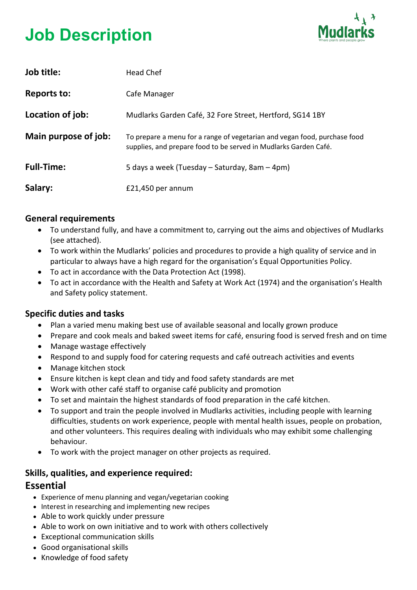# **Job Description**



| Job title:           | <b>Head Chef</b>                                                                                                                              |
|----------------------|-----------------------------------------------------------------------------------------------------------------------------------------------|
| <b>Reports to:</b>   | Cafe Manager                                                                                                                                  |
| Location of job:     | Mudlarks Garden Café, 32 Fore Street, Hertford, SG14 1BY                                                                                      |
| Main purpose of job: | To prepare a menu for a range of vegetarian and vegan food, purchase food<br>supplies, and prepare food to be served in Mudlarks Garden Café. |
| <b>Full-Time:</b>    | 5 days a week (Tuesday – Saturday, 8am – 4pm)                                                                                                 |
| Salary:              | £21,450 per annum                                                                                                                             |

#### **General requirements**

- To understand fully, and have a commitment to, carrying out the aims and objectives of Mudlarks (see attached).
- To work within the Mudlarks' policies and procedures to provide a high quality of service and in particular to always have a high regard for the organisation's Equal Opportunities Policy.
- To act in accordance with the Data Protection Act (1998).
- To act in accordance with the Health and Safety at Work Act (1974) and the organisation's Health and Safety policy statement.

## **Specific duties and tasks**

- Plan a varied menu making best use of available seasonal and locally grown produce
- Prepare and cook meals and baked sweet items for café, ensuring food is served fresh and on time
- Manage wastage effectively
- Respond to and supply food for catering requests and café outreach activities and events
- Manage kitchen stock
- Ensure kitchen is kept clean and tidy and food safety standards are met
- Work with other café staff to organise café publicity and promotion
- To set and maintain the highest standards of food preparation in the café kitchen.
- To support and train the people involved in Mudlarks activities, including people with learning difficulties, students on work experience, people with mental health issues, people on probation, and other volunteers. This requires dealing with individuals who may exhibit some challenging behaviour.
- To work with the project manager on other projects as required.

## **Skills, qualities, and experience required:**

## **Essential**

- Experience of menu planning and vegan/vegetarian cooking
- Interest in researching and implementing new recipes
- Able to work quickly under pressure
- Able to work on own initiative and to work with others collectively
- Exceptional communication skills
- Good organisational skills
- Knowledge of food safety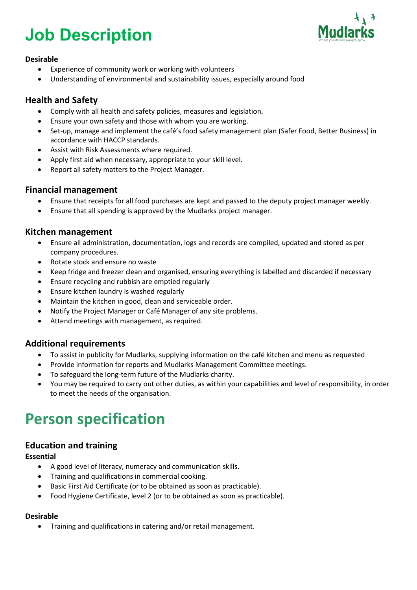## **Job Description**



#### **Desirable**

- Experience of community work or working with volunteers
- Understanding of environmental and sustainability issues, especially around food

### **Health and Safety**

- Comply with all health and safety policies, measures and legislation.
- Ensure your own safety and those with whom you are working.
- Set-up, manage and implement the café's food safety management plan (Safer Food, Better Business) in accordance with HACCP standards.
- Assist with Risk Assessments where required.
- Apply first aid when necessary, appropriate to your skill level.
- Report all safety matters to the Project Manager.

#### **Financial management**

- Ensure that receipts for all food purchases are kept and passed to the deputy project manager weekly.
- Ensure that all spending is approved by the Mudlarks project manager.

#### **Kitchen management**

- Ensure all administration, documentation, logs and records are compiled, updated and stored as per company procedures.
- Rotate stock and ensure no waste
- Keep fridge and freezer clean and organised, ensuring everything is labelled and discarded if necessary
- Ensure recycling and rubbish are emptied regularly
- Ensure kitchen laundry is washed regularly
- Maintain the kitchen in good, clean and serviceable order.
- Notify the Project Manager or Café Manager of any site problems.
- Attend meetings with management, as required.

#### **Additional requirements**

- To assist in publicity for Mudlarks, supplying information on the café kitchen and menu as requested
- Provide information for reports and Mudlarks Management Committee meetings.
- To safeguard the long-term future of the Mudlarks charity.
- You may be required to carry out other duties, as within your capabilities and level of responsibility, in order to meet the needs of the organisation.

## **Person specification**

#### **Education and training**

#### **Essential**

- A good level of literacy, numeracy and communication skills.
- Training and qualifications in commercial cooking.
- Basic First Aid Certificate (or to be obtained as soon as practicable).
- Food Hygiene Certificate, level 2 (or to be obtained as soon as practicable).

#### **Desirable**

• Training and qualifications in catering and/or retail management.